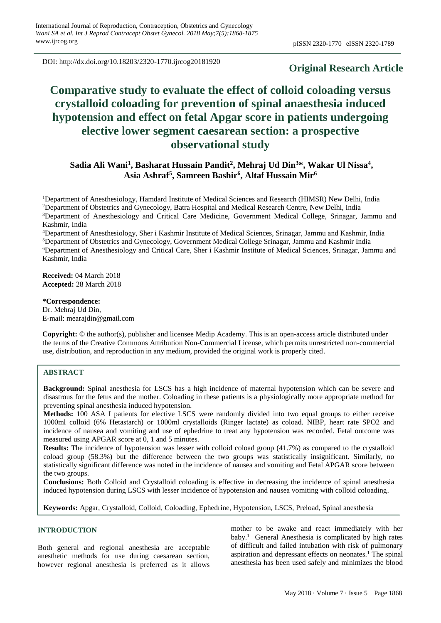DOI: http://dx.doi.org/10.18203/2320-1770.ijrcog20181920

# **Original Research Article**

# **Comparative study to evaluate the effect of colloid coloading versus crystalloid coloading for prevention of spinal anaesthesia induced hypotension and effect on fetal Apgar score in patients undergoing elective lower segment caesarean section: a prospective observational study**

**Sadia Ali Wani<sup>1</sup> , Basharat Hussain Pandit<sup>2</sup> , Mehraj Ud Din<sup>3</sup>\*, Wakar Ul Nissa<sup>4</sup> , Asia Ashraf<sup>5</sup> , Samreen Bashir<sup>6</sup> , Altaf Hussain Mir<sup>6</sup>**

Department of Anesthesiology, Hamdard Institute of Medical Sciences and Research (HIMSR) New Delhi, India Department of Obstetrics and Gynecology, Batra Hospital and Medical Research Centre, New Delhi, India Department of Anesthesiology and Critical Care Medicine, Government Medical College, Srinagar, Jammu and Kashmir, India

Department of Anesthesiology, Sher i Kashmir Institute of Medical Sciences, Srinagar, Jammu and Kashmir, India Department of Obstetrics and Gynecology, Government Medical College Srinagar, Jammu and Kashmir India Department of Anesthesiology and Critical Care, Sher i Kashmir Institute of Medical Sciences, Srinagar, Jammu and Kashmir, India

**Received:** 04 March 2018 **Accepted:** 28 March 2018

**\*Correspondence:** Dr. Mehraj Ud Din, E-mail: mearajdin@gmail.com

**Copyright:** © the author(s), publisher and licensee Medip Academy. This is an open-access article distributed under the terms of the Creative Commons Attribution Non-Commercial License, which permits unrestricted non-commercial use, distribution, and reproduction in any medium, provided the original work is properly cited.

# **ABSTRACT**

**Background:** Spinal anesthesia for LSCS has a high incidence of maternal hypotension which can be severe and disastrous for the fetus and the mother. Coloading in these patients is a physiologically more appropriate method for preventing spinal anesthesia induced hypotension.

**Methods:** 100 ASA I patients for elective LSCS were randomly divided into two equal groups to either receive 1000ml colloid (6% Hetastarch) or 1000ml crystalloids (Ringer lactate) as coload. NIBP, heart rate SPO2 and incidence of nausea and vomiting and use of ephedrine to treat any hypotension was recorded. Fetal outcome was measured using APGAR score at 0, 1 and 5 minutes.

**Results:** The incidence of hypotension was lesser with colloid coload group (41.7%) as compared to the crystalloid coload group (58.3%) but the difference between the two groups was statistically insignificant. Similarly, no statistically significant difference was noted in the incidence of nausea and vomiting and Fetal APGAR score between the two groups.

**Conclusions:** Both Colloid and Crystalloid coloading is effective in decreasing the incidence of spinal anesthesia induced hypotension during LSCS with lesser incidence of hypotension and nausea vomiting with colloid coloading.

**Keywords:** Apgar, Crystalloid, Colloid, Coloading, Ephedrine, Hypotension, LSCS, Preload, Spinal anesthesia

# **INTRODUCTION**

Both general and regional anesthesia are acceptable anesthetic methods for use during caesarean section, however regional anesthesia is preferred as it allows

mother to be awake and react immediately with her baby.<sup>1</sup> General Anesthesia is complicated by high rates of difficult and failed intubation with risk of pulmonary aspiration and depressant effects on neonates.<sup>1</sup> The spinal anesthesia has been used safely and minimizes the blood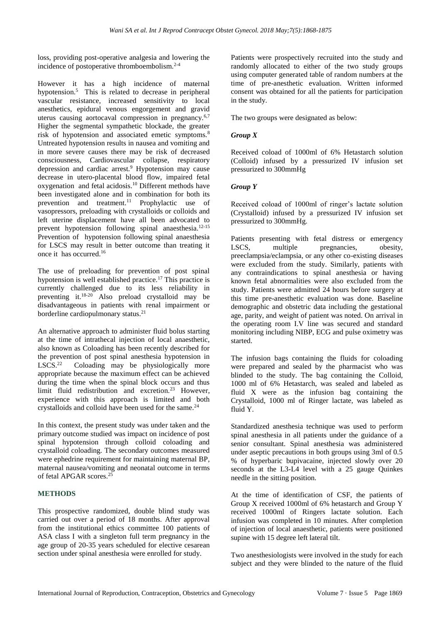loss, providing post-operative analgesia and lowering the incidence of postoperative thromboembolism.2-4

However it has a high incidence of maternal hypotension.<sup>5</sup> This is related to decrease in peripheral vascular resistance, increased sensitivity to local anesthetics, epidural venous engorgement and gravid uterus causing aortocaval compression in pregnancy.6,7 Higher the segmental sympathetic blockade, the greater risk of hypotension and associated emetic symptoms.<sup>8</sup> Untreated hypotension results in nausea and vomiting and in more severe causes there may be risk of decreased consciousness, Cardiovascular collapse, respiratory depression and cardiac arrest.<sup>9</sup> Hypotension may cause decrease in utero-placental blood flow, impaired fetal oxygenation and fetal acidosis.<sup>10</sup> Different methods have been investigated alone and in combination for both its prevention and treatment.<sup>11</sup> Prophylactic use of vasopressors, preloading with crystalloids or colloids and left uterine displacement have all been advocated to prevent hypotension following spinal anaesthesia.<sup>12-15</sup> Prevention of hypotension following spinal anaesthesia for LSCS may result in better outcome than treating it once it has occurred.<sup>16</sup>

The use of preloading for prevention of post spinal hypotension is well established practice.<sup>17</sup> This practice is currently challenged due to its less reliability in preventing it. $18-20$  Also preload crystalloid may be disadvantageous in patients with renal impairment or borderline cardiopulmonary status.<sup>21</sup>

An alternative approach to administer fluid bolus starting at the time of intrathecal injection of local anaesthetic, also known as Coloading has been recently described for the prevention of post spinal anesthesia hypotension in  $LSCS.<sup>22</sup>$  Coloading may be physiologically more appropriate because the maximum effect can be achieved during the time when the spinal block occurs and thus limit fluid redistribution and excretion.<sup>23</sup> However, experience with this approach is limited and both crystalloids and colloid have been used for the same.<sup>24</sup>

In this context, the present study was under taken and the primary outcome studied was impact on incidence of post spinal hypotension through colloid coloading and crystalloid coloading. The secondary outcomes measured were ephedrine requirement for maintaining maternal BP, maternal nausea/vomiting and neonatal outcome in terms of fetal APGAR scores.<sup>25</sup>

# **METHODS**

This prospective randomized, double blind study was carried out over a period of 18 months. After approval from the institutional ethics committee 100 patients of ASA class I with a singleton full term pregnancy in the age group of 20-35 years scheduled for elective cesarean section under spinal anesthesia were enrolled for study.

Patients were prospectively recruited into the study and randomly allocated to either of the two study groups using computer generated table of random numbers at the time of pre-anesthetic evaluation. Written informed consent was obtained for all the patients for participation in the study.

The two groups were designated as below:

# *Group X*

Received coload of 1000ml of 6% Hetastarch solution (Colloid) infused by a pressurized IV infusion set pressurized to 300mmHg

# *Group Y*

Received coload of 1000ml of ringer's lactate solution (Crystalloid) infused by a pressurized IV infusion set pressurized to 300mmHg.

Patients presenting with fetal distress or emergency LSCS, multiple pregnancies, obesity, preeclampsia/eclampsia, or any other co-existing diseases were excluded from the study. Similarly, patients with any contraindications to spinal anesthesia or having known fetal abnormalities were also excluded from the study. Patients were admitted 24 hours before surgery at this time pre-anesthetic evaluation was done. Baseline demographic and obstetric data including the gestational age, parity, and weight of patient was noted. On arrival in the operating room I.V line was secured and standard monitoring including NIBP, ECG and pulse oximetry was started.

The infusion bags containing the fluids for coloading were prepared and sealed by the pharmacist who was blinded to the study. The bag containing the Colloid, 1000 ml of 6% Hetastarch, was sealed and labeled as fluid X were as the infusion bag containing the Crystalloid, 1000 ml of Ringer lactate, was labeled as fluid Y.

Standardized anesthesia technique was used to perform spinal anesthesia in all patients under the guidance of a senior consultant. Spinal anesthesia was administered under aseptic precautions in both groups using 3ml of 0.5 % of hyperbaric bupivacaine, injected slowly over 20 seconds at the L3-L4 level with a 25 gauge Quinkes needle in the sitting position.

At the time of identification of CSF, the patients of Group X received 1000ml of 6% hetastarch and Group Y received 1000ml of Ringers lactate solution. Each infusion was completed in 10 minutes. After completion of injection of local anaesthetic, patients were positioned supine with 15 degree left lateral tilt.

Two anesthesiologists were involved in the study for each subject and they were blinded to the nature of the fluid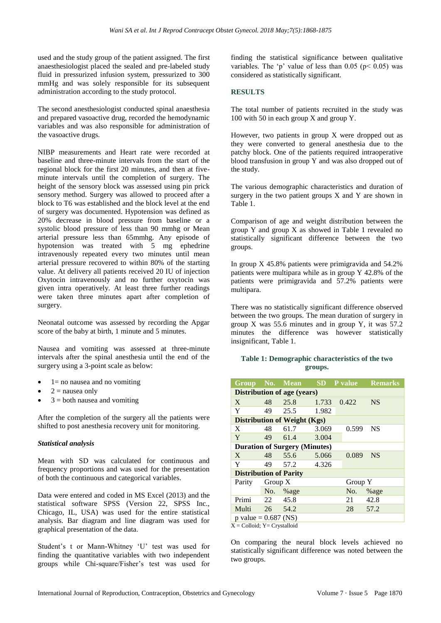used and the study group of the patient assigned. The first anaesthesiologist placed the sealed and pre-labeled study fluid in pressurized infusion system, pressurized to 300 mmHg and was solely responsible for its subsequent administration according to the study protocol.

The second anesthesiologist conducted spinal anaesthesia and prepared vasoactive drug, recorded the hemodynamic variables and was also responsible for administration of the vasoactive drugs.

NIBP measurements and Heart rate were recorded at baseline and three-minute intervals from the start of the regional block for the first 20 minutes, and then at fiveminute intervals until the completion of surgery. The height of the sensory block was assessed using pin prick sensory method. Surgery was allowed to proceed after a block to T6 was established and the block level at the end of surgery was documented. Hypotension was defined as 20% decrease in blood pressure from baseline or a systolic blood pressure of less than 90 mmhg or Mean arterial pressure less than 65mmhg. Any episode of hypotension was treated with 5 mg ephedrine intravenously repeated every two minutes until mean arterial pressure recovered to within 80% of the starting value. At delivery all patients received 20 IU of injection Oxytocin intravenously and no further oxytocin was given intra operatively. At least three further readings were taken three minutes apart after completion of surgery.

Neonatal outcome was assessed by recording the Apgar score of the baby at birth, 1 minute and 5 minutes.

Nausea and vomiting was assessed at three-minute intervals after the spinal anesthesia until the end of the surgery using a 3-point scale as below:

- $1=$  no nausea and no vomiting
- $2$  = nausea only
- $3 =$  both nausea and vomiting

After the completion of the surgery all the patients were shifted to post anesthesia recovery unit for monitoring.

# *Statistical analysis*

Mean with SD was calculated for continuous and frequency proportions and was used for the presentation of both the continuous and categorical variables.

Data were entered and coded in MS Excel (2013) and the statistical software SPSS (Version 22, SPSS Inc., Chicago, IL, USA) was used for the entire statistical analysis. Bar diagram and line diagram was used for graphical presentation of the data.

Student's t or Mann-Whitney 'U' test was used for finding the quantitative variables with two independent groups while Chi-square/Fisher's test was used for finding the statistical significance between qualitative variables. The 'p' value of less than  $0.05$  (p< 0.05) was considered as statistically significant.

# **RESULTS**

The total number of patients recruited in the study was 100 with 50 in each group X and group Y.

However, two patients in group  $X$  were dropped out as they were converted to general anesthesia due to the patchy block. One of the patients required intraoperative blood transfusion in group Y and was also dropped out of the study.

The various demographic characteristics and duration of surgery in the two patient groups  $X$  and  $Y$  are shown in Table 1.

Comparison of age and weight distribution between the group Y and group X as showed in Table 1 revealed no statistically significant difference between the two groups.

In group X 45.8% patients were primigravida and 54.2% patients were multipara while as in group Y 42.8% of the patients were primigravida and 57.2% patients were multipara.

There was no statistically significant difference observed between the two groups. The mean duration of surgery in group X was 55.6 minutes and in group Y, it was 57.2 minutes the difference was however statistically insignificant, Table 1.

# **Table 1: Demographic characteristics of the two groups.**

|                                                                     |           | Group No. Mean SD P value            |       |       | <b>Remarks</b> |  |  |  |
|---------------------------------------------------------------------|-----------|--------------------------------------|-------|-------|----------------|--|--|--|
| <b>Distribution of age (years)</b>                                  |           |                                      |       |       |                |  |  |  |
| $\mathbf{X}$                                                        | 48        | 25.8                                 | 1.733 | 0.422 | <b>NS</b>      |  |  |  |
| Y                                                                   | 49        | 25.5                                 | 1.982 |       |                |  |  |  |
|                                                                     |           | <b>Distribution of Weight (Kgs)</b>  |       |       |                |  |  |  |
| X                                                                   | 48        | 61.7                                 | 3.069 | 0.599 | <b>NS</b>      |  |  |  |
| Y                                                                   | 49        | 61.4                                 | 3.004 |       |                |  |  |  |
|                                                                     |           | <b>Duration of Surgery (Minutes)</b> |       |       |                |  |  |  |
| X                                                                   | 48        | 55.6                                 | 5.066 | 0.089 | <b>NS</b>      |  |  |  |
| Y                                                                   | 49        | 57.2                                 | 4.326 |       |                |  |  |  |
| <b>Distribution of Parity</b>                                       |           |                                      |       |       |                |  |  |  |
| Parity                                                              | Group $X$ |                                      |       |       | Group Y        |  |  |  |
|                                                                     |           | No. %age                             |       | No.   | %age           |  |  |  |
| Primi                                                               | 22        | 45.8                                 |       | 21    | 42.8           |  |  |  |
| Multi                                                               |           | 26 54.2                              |       | 28    | 57.2           |  |  |  |
| p value = $0.687$ (NS)<br>$V = C$ 11 '1 $V = C$ $\rightarrow$ 11 '1 |           |                                      |       |       |                |  |  |  |

 $X =$  Colloid:  $Y =$  Crystalloid

On comparing the neural block levels achieved no statistically significant difference was noted between the two groups.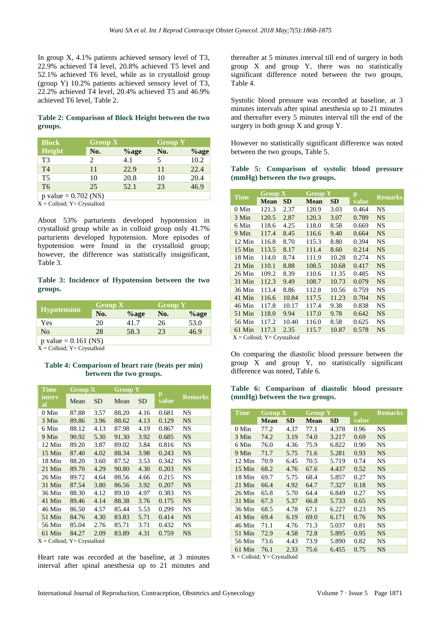In group X, 4.1% patients achieved sensory level of T3, 22.9% achieved T4 level, 20.8% achieved T5 level and 52.1% achieved T6 level, while as in crystalloid group (group Y) 10.2% patients achieved sensory level of T3, 22.2% achieved T4 level, 20.4% achieved T5 and 46.9% achieved T6 level, Table 2.

# **Table 2: Comparison of Block Height between the two groups.**

| <b>Block</b>           | Group X |          | <b>Group Y</b> |         |
|------------------------|---------|----------|----------------|---------|
| Height                 | No.     | $\%$ age | No.            | $%$ age |
| T3                     |         | 4.1      | 5              | 10.2    |
| T <sub>4</sub>         | 11      | 22.9     | 11             | 22.4    |
| T <sub>5</sub>         | 10      | 20.8     | 10             | 20.4    |
| T <sub>6</sub>         | 25      | 52.1     | 23             | 46.9    |
| p value = $0.702$ (NS) |         |          |                |         |

 $X =$  Colloid;  $Y =$  Crystalloid

About 53% parturients developed hypotension in crystalloid group while as in colloid group only 41.7% parturients developed hypotension. More episodes of hypotension were found in the crystalloid group; however, the difference was statistically insignificant, Table 3.

# **Table 3: Incidence of Hypotension between the two groups.**

|                        | $Group X$ |          | <b>Group Y</b> |          |
|------------------------|-----------|----------|----------------|----------|
| <b>Hypotension</b>     | No.       | $\%$ age | No.            | $\%$ age |
| Yes                    | 20        | 41.7     | 26             | 53.0     |
| N <sub>0</sub>         | 28        | 58.3     | 23             | 46.9     |
| p value = $0.161$ (NS) |           |          |                |          |

X = Colloid; Y= Crystalloid

#### **Table 4: Comparison of heart rate (beats per min) between the two groups.**

| <b>Time</b>   | Group X |           |       | <b>Group Y</b> |                       |                |
|---------------|---------|-----------|-------|----------------|-----------------------|----------------|
| interv<br>al  | Mean    | <b>SD</b> | Mean  | <b>SD</b>      | $\mathbf{p}$<br>value | <b>Remarks</b> |
| $0$ Min       | 87.88   | 3.57      | 88.20 | 4.16           | 0.681                 | <b>NS</b>      |
| 3 Min         | 89.86   | 3.96      | 88.62 | 4.13           | 0.129                 | <b>NS</b>      |
| 6 Min         | 88.12   | 4.13      | 87.98 | 4.19           | 0.867                 | <b>NS</b>      |
| 9 Min         | 90.92   | 5.30      | 91.30 | 3.92           | 0.685                 | <b>NS</b>      |
| 12 Min        | 89.20   | 3.87      | 89.02 | 3.84           | 0.816                 | <b>NS</b>      |
| $15$ Min      | 87.40   | 4.02      | 88.34 | 3.98           | 0.243                 | <b>NS</b>      |
| 18 Min        | 88.20   | 3.60      | 87.52 | 3.53           | 0.342                 | <b>NS</b>      |
| 21 Min        | 89.70   | 4.29      | 90.80 | 4.30           | 0.203                 | <b>NS</b>      |
| 26 Min        | 89.72   | 4.64      | 88.56 | 4.66           | 0.215                 | <b>NS</b>      |
| 31 Min        | 87.54   | 3.80      | 86.56 | 3.92           | 0.207                 | <b>NS</b>      |
| 36 Min        | 88.30   | 4.12      | 89.10 | 4.97           | 0.383                 | <b>NS</b>      |
| 41 Min        | 89.46   | 4.14      | 88.38 | 3.76           | 0.175                 | <b>NS</b>      |
| 46 Min        | 86.50   | 4.57      | 85.44 | 5.53           | 0.299                 | NS             |
| 51 Min        | 84.76   | 4.30      | 83.83 | 5.71           | 0.414                 | <b>NS</b>      |
| 56 Min        | 85.04   | 2.76      | 85.71 | 3.71           | 0.432                 | NS             |
| 61 Min<br>. . | 84.27   | 2.09      | 83.89 | 4.31           | 0.759                 | <b>NS</b>      |

 $X =$  Colloid;  $Y =$  Crystalloid

Heart rate was recorded at the baseline, at 3 minutes interval after spinal anesthesia up to 21 minutes and thereafter at 5 minutes interval till end of surgery in both group X and group Y, there was no statistically significant difference noted between the two groups, Table 4.

Systolic blood pressure was recorded at baseline, at 3 minutes intervals after spinal anesthesia up to 21 minutes and thereafter every 5 minutes interval till the end of the surgery in both group X and group Y.

However no statistically significant difference was noted between the two groups, Table 5.

**Table 5: Comparison of systolic blood pressure (mmHg) between the two groups.**

| <b>Time</b>                         | Group X     |       |             | <b>Group Y</b> |       | <b>Remarks</b> |
|-------------------------------------|-------------|-------|-------------|----------------|-------|----------------|
|                                     | <b>Mean</b> | SD.   | <b>Mean</b> | SD.            | value |                |
| $0$ Min                             | 121.3       | 2.37  | 120.9       | 3.03           | 0.464 | <b>NS</b>      |
| 3 Min                               | 120.5       | 2.87  | 120.3       | 3.07           | 0.789 | <b>NS</b>      |
| 6 Min                               | 118.6       | 4.25  | 118.0       | 8.58           | 0.669 | <b>NS</b>      |
| 9 Min                               | 117.4       | 8.45  | 116.6       | 9.40           | 0.664 | <b>NS</b>      |
| 12 Min                              | 116.8       | 8.70  | 115.3       | 8.80           | 0.394 | <b>NS</b>      |
| 15 Min                              | 113.5       | 8.17  | 111.4       | 8.60           | 0.214 | <b>NS</b>      |
| 18 Min                              | 114.0       | 8.74  | 111.9       | 10.28          | 0.274 | <b>NS</b>      |
| $21$ Min                            | 110.1       | 8.88  | 108.5       | 10.68          | 0.417 | <b>NS</b>      |
| 26 Min                              | 109.2       | 8.39  | 110.6       | 11.35          | 0.485 | NS             |
| 31 Min                              | 112.3       | 9.49  | 108.7       | 10.73          | 0.079 | <b>NS</b>      |
| 36 Min                              | 113.4       | 8.86  | 112.8       | 10.56          | 0.759 | NS             |
| 41 Min                              | 116.6       | 10.84 | 117.5       | 11.23          | 0.704 | <b>NS</b>      |
| 46 Min                              | 117.8       | 10.17 | 117.4       | 9.38           | 0.838 | <b>NS</b>      |
| 51 Min                              | 118.0       | 9.94  | 117.0       | 9.78           | 0.642 | <b>NS</b>      |
| 56 Min                              | 117.2       | 10.40 | 116.0       | 8.58           | 0.625 | <b>NS</b>      |
| 61 Min                              | 117.3       | 2.35  | 115.7       | 10.87          | 0.578 | <b>NS</b>      |
| $V = CoII$ oide $V = Conistall$ oid |             |       |             |                |       |                |

 $X =$  Colloid;  $Y =$  Crystalloid

On comparing the diastolic blood pressure between the group  $X$  and group  $Y$ , no statistically significant difference was noted, Table 6.

**Table 6: Comparison of diastolic blood pressure (mmHg) between the two groups.**

| <b>Time</b> | Group X     |      | <b>Group Y</b> |           | $\mathbf{p}$ | <b>Remarks</b> |
|-------------|-------------|------|----------------|-----------|--------------|----------------|
|             | <b>Mean</b> | SD   | <b>Mean</b>    | <b>SD</b> | value        |                |
| 0 Min       | 77.2        | 4.37 | 77.1           | 4.378     | 0.96         | <b>NS</b>      |
| 3 Min       | 74.2        | 3.19 | 74.0           | 3.217     | 0.69         | <b>NS</b>      |
| 6 Min       | 76.0        | 4.36 | 75.9           | 6.822     | 0.90         | <b>NS</b>      |
| 9 Min       | 71.7        | 5.75 | 71.6           | 5.281     | 0.93         | <b>NS</b>      |
| 12 Min      | 70.9        | 6.45 | 70.5           | 5.719     | 0.74         | <b>NS</b>      |
| $15$ Min    | 68.2        | 4.76 | 67.6           | 4.437     | 0.52         | <b>NS</b>      |
| 18 Min      | 69.7        | 5.75 | 68.4           | 5.857     | 0.27         | <b>NS</b>      |
| $21$ Min    | 66.4        | 4.92 | 64.7           | 7.327     | 0.18         | <b>NS</b>      |
| 26 Min      | 65.8        | 5.70 | 64.4           | 6.849     | 0.27         | <b>NS</b>      |
| $31$ Min    | 67.3        | 5.37 | 66.8           | 5.733     | 0.65         | <b>NS</b>      |
| 36 Min      | 68.5        | 4.78 | 67.1           | 6.227     | 0.23         | <b>NS</b>      |
| 41 Min      | 69.4        | 6.19 | 69.0           | 6.171     | 0.76         | <b>NS</b>      |
| 46 Min      | 71.1        | 4.76 | 71.3           | 5.037     | 0.81         | <b>NS</b>      |
| 51 Min      | 72.9        | 4.58 | 72.8           | 5.895     | 0.95         | <b>NS</b>      |
| 56 Min      | 73.6        | 4.43 | 73.9           | 5.890     | 0.82         | <b>NS</b>      |
| 61 Min      | 76.1        | 2.33 | 75.6           | 6.455     | 0.75         | <b>NS</b>      |

 $X =$  Colloid;  $Y =$  Crystalloid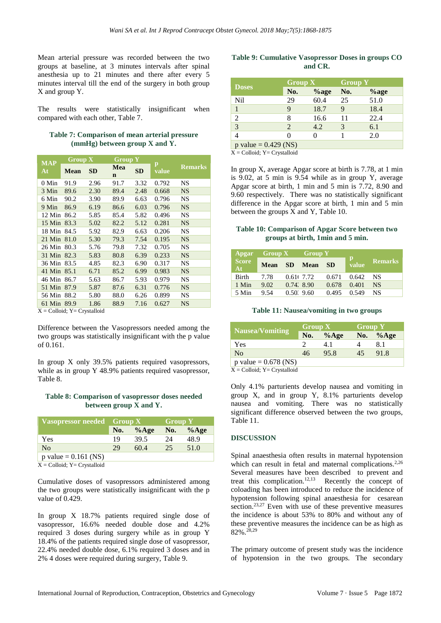Mean arterial pressure was recorded between the two groups at baseline, at 3 minutes intervals after spinal anesthesia up to 21 minutes and there after every 5 minutes interval till the end of the surgery in both group X and group Y.

The results were statistically insignificant when compared with each other, Table 7.

| Table 7: Comparison of mean arterial pressure |  |  |
|-----------------------------------------------|--|--|
| $(mmHg)$ between group X and Y.               |  |  |

|                  | Group X |           | <b>Group Y</b>     |           |            |                |
|------------------|---------|-----------|--------------------|-----------|------------|----------------|
| <b>MAP</b><br>At | Mean    | <b>SD</b> | Mea<br>$\mathbf n$ | <b>SD</b> | p<br>value | <b>Remarks</b> |
| $0$ Min          | 91.9    | 2.96      | 91.7               | 3.32      | 0.792      | <b>NS</b>      |
| 3 Min            | 89.6    | 2.30      | 89.4               | 2.48      | 0.668      | <b>NS</b>      |
| 6 Min            | 90.2    | 3.90      | 89.9               | 6.63      | 0.796      | <b>NS</b>      |
| 9 Min            | 86.9    | 6.19      | 86.6               | 6.03      | 0.796      | <b>NS</b>      |
| 12 Min           | 86.2    | 5.85      | 85.4               | 5.82      | 0.496      | <b>NS</b>      |
| $15$ Min         | 83.3    | 5.02      | 82.2               | 5.12      | 0.281      | <b>NS</b>      |
| 18 Min           | 84.5    | 5.92      | 82.9               | 6.63      | 0.206      | <b>NS</b>      |
| $21$ Min         | 81.0    | 5.30      | 79.3               | 7.54      | 0.195      | <b>NS</b>      |
| 26 Min           | 80.3    | 5.76      | 79.8               | 7.32      | 0.705      | <b>NS</b>      |
| $31$ Min         | 82.3    | 5.83      | 80.8               | 6.39      | 0.233      | <b>NS</b>      |
| 36 Min           | 83.5    | 4.85      | 82.3               | 6.90      | 0.317      | NS             |
| 41 Min           | 85.1    | 6.71      | 85.2               | 6.99      | 0.983      | <b>NS</b>      |
| 46 Min           | 86.7    | 5.63      | 86.7               | 5.93      | 0.979      | NS             |
| 51 Min           | 87.9    | 5.87      | 87.6               | 6.31      | 0.776      | <b>NS</b>      |
| 56 Min           | 88.2    | 5.80      | 88.0               | 6.26      | 0.899      | <b>NS</b>      |
| 61 Min           | 89.9    | 1.86      | 88.9               | 7.16      | 0.627      | <b>NS</b>      |

 $X = Colloid$ ;  $Y = Crystalloid$ 

Difference between the Vasopressors needed among the two groups was statistically insignificant with the p value of 0.161.

In group X only 39.5% patients required vasopressors, while as in group Y 48.9% patients required vasopressor, Table 8.

# **Table 8: Comparison of vasopressor doses needed between group X and Y.**

| Vasopressor needed Group X               |     |         | <b>Group Y</b> |         |
|------------------------------------------|-----|---------|----------------|---------|
|                                          | No. | $%$ Age | No.            | $%$ Age |
| Yes                                      | 19  | 39.5    | 24             | 48.9    |
| N <sub>0</sub>                           | 29  | 60.4    | 25             | 51.0    |
| p value = $0.161$ (NS)                   |     |         |                |         |
| $V = 0.11 \cdot 1.$ $V = 0.11 \cdot 1.1$ |     |         |                |         |

 $X =$  Colloid;  $Y =$  Crystalloid

Cumulative doses of vasopressors administered among the two groups were statistically insignificant with the p value of 0.429.

In group X 18.7% patients required single dose of vasopressor, 16.6% needed double dose and 4.2% required 3 doses during surgery while as in group Y 18.4% of the patients required single dose of vasopressor, 22.4% needed double dose, 6.1% required 3 doses and in 2% 4 doses were required during surgery, Table 9.

# **Table 9: Cumulative Vasopressor Doses in groups CO and CR.**

| <b>Doses</b>                | Group X |          | <b>Group Y</b> |          |  |
|-----------------------------|---------|----------|----------------|----------|--|
|                             | No.     | $\%$ age | No.            | $\%$ age |  |
| N <sub>il</sub>             | 29      | 60.4     | 25             | 51.0     |  |
|                             | 9       | 18.7     | 9              | 18.4     |  |
| $\overline{2}$              | 8       | 16.6     | 11             | 22.4     |  |
| 3                           | 2       | 4.2      | 3              | 6.1      |  |
| $\overline{4}$              |         |          |                | 2.0      |  |
| p value = $0.429$ (NS)<br>. |         |          |                |          |  |

 $X =$  Colloid;  $Y =$  Crystalloid

In group X, average Apgar score at birth is 7.78, at 1 min is 9.02, at 5 min is 9.54 while as in group Y, average Apgar score at birth, 1 min and 5 min is 7.72, 8.90 and 9.60 respectively. There was no statistically significant difference in the Apgar score at birth, 1 min and 5 min between the groups X and Y, Table 10.

#### **Table 10: Comparison of Apgar Score between two groups at birth, 1min and 5 min.**

| Apgar              | Group X |                     | $'$ Group Y |       |            |                |
|--------------------|---------|---------------------|-------------|-------|------------|----------------|
| <b>Score</b><br>At | Mean SD |                     | Mean        | -SD   | p<br>value | <b>Remarks</b> |
| <b>Birth</b>       | 7.78    | 0.61(7.72)          |             | 0.671 | 0.642      | - NS           |
| 1 Min              | 9.02    | $0.74$ $8.90$       |             | 0.678 | 0.401      | NS.            |
| 5 Min              | 9.54    | $0.50^{\circ}$ 9.60 |             | 0.495 | 0.549      | NS             |

#### **Table 11: Nausea/vomiting in two groups**

| <b>Nausea/Vomiting</b> | Group X |         |     | <b>Group Y</b> |  |
|------------------------|---------|---------|-----|----------------|--|
|                        | No.     | $%$ Age | No. | $%$ Age        |  |
| Yes                    |         | 4.1     |     |                |  |
| N <sub>0</sub>         | 46      | 95.8    | 45  | 91.8           |  |
| p value = $0.678$ (NS) |         |         |     |                |  |
| .                      |         |         |     |                |  |

 $X = Colloid: Y = Crystalloid$ 

Only 4.1% parturients develop nausea and vomiting in group X, and in group Y, 8.1% parturients develop nausea and vomiting. There was no statistically significant difference observed between the two groups, Table 11.

# **DISCUSSION**

Spinal anaesthesia often results in maternal hypotension which can result in fetal and maternal complications.<sup>2,26</sup> Several measures have been described to prevent and treat this complication.<sup>12,13</sup> Recently the concept of coloading has been introduced to reduce the incidence of hypotension following spinal anaesthesia for cesarean section. 23,27 Even with use of these preventive measures the incidence is about 53% to 80% and without any of these preventive measures the incidence can be as high as 82%.28,29

The primary outcome of present study was the incidence of hypotension in the two groups. The secondary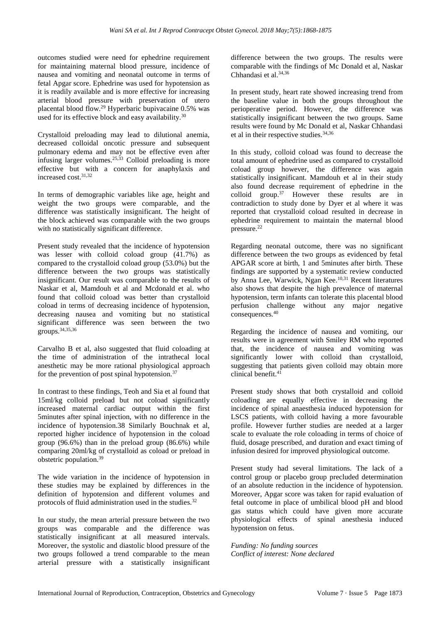outcomes studied were need for ephedrine requirement for maintaining maternal blood pressure, incidence of nausea and vomiting and neonatal outcome in terms of fetal Apgar score. Ephedrine was used for hypotension as it is readily available and is more effective for increasing arterial blood pressure with preservation of utero placental blood flow.<sup>29</sup> Hyperbaric bupivacaine 0.5% was used for its effective block and easy availability.<sup>30</sup>

Crystalloid preloading may lead to dilutional anemia, decreased colloidal oncotic pressure and subsequent pulmonary edema and may not be effective even after infusing larger volumes.<sup>25,33</sup> Colloid preloading is more effective but with a concern for anaphylaxis and increased cost 31,32

In terms of demographic variables like age, height and weight the two groups were comparable, and the difference was statistically insignificant. The height of the block achieved was comparable with the two groups with no statistically significant difference.

Present study revealed that the incidence of hypotension was lesser with colloid coload group (41.7%) as compared to the crystalloid coload group (53.0%) but the difference between the two groups was statistically insignificant. Our result was comparable to the results of Naskar et al, Mamdouh et al and Mcdonald et al. who found that colloid coload was better than crystalloid coload in terms of decreasing incidence of hypotension, decreasing nausea and vomiting but no statistical significant difference was seen between the two groups.34,35,36

Carvalho B et al, also suggested that fluid coloading at the time of administration of the intrathecal local anesthetic may be more rational physiological approach for the prevention of post spinal hypotension. $37$ 

In contrast to these findings, Teoh and Sia et al found that 15ml/kg colloid preload but not coload significantly increased maternal cardiac output within the first 5minutes after spinal injection, with no difference in the incidence of hypotension.38 Similarly Bouchnak et al, reported higher incidence of hypotension in the coload group (96.6%) than in the preload group (86.6%) while comparing 20ml/kg of crystalloid as coload or preload in obstetric population.<sup>39</sup>

The wide variation in the incidence of hypotension in these studies may be explained by differences in the definition of hypotension and different volumes and protocols of fluid administration used in the studies. $32$ 

In our study, the mean arterial pressure between the two groups was comparable and the difference was statistically insignificant at all measured intervals. Moreover, the systolic and diastolic blood pressure of the two groups followed a trend comparable to the mean arterial pressure with a statistically insignificant difference between the two groups. The results were comparable with the findings of Mc Donald et al, Naskar Chhandasi et al.<sup>34,36</sup>

In present study, heart rate showed increasing trend from the baseline value in both the groups throughout the perioperative period. However, the difference was statistically insignificant between the two groups. Same results were found by Mc Donald et al, Naskar Chhandasi et al in their respective studies.<sup>34,36</sup>

In this study, colloid coload was found to decrease the total amount of ephedrine used as compared to crystalloid coload group however, the difference was again statistically insignificant. Mamdouh et al in their study also found decrease requirement of ephedrine in the colloid group.<sup>37</sup> However these results are in contradiction to study done by Dyer et al where it was reported that crystalloid coload resulted in decrease in ephedrine requirement to maintain the maternal blood pressure.<sup>22</sup>

Regarding neonatal outcome, there was no significant difference between the two groups as evidenced by fetal APGAR score at birth, 1 and 5minutes after birth. These findings are supported by a systematic review conducted by Anna Lee, Warwick, Ngan Kee.10,31 Recent literatures also shows that despite the high prevalence of maternal hypotension, term infants can tolerate this placental blood perfusion challenge without any major negative consequences.<sup>40</sup>

Regarding the incidence of nausea and vomiting, our results were in agreement with Smiley RM who reported that, the incidence of nausea and vomiting was significantly lower with colloid than crystalloid, suggesting that patients given colloid may obtain more clinical benefit.<sup>41</sup>

Present study shows that both crystalloid and colloid coloading are equally effective in decreasing the incidence of spinal anaesthesia induced hypotension for LSCS patients, with colloid having a more favourable profile. However further studies are needed at a larger scale to evaluate the role coloading in terms of choice of fluid, dosage prescribed, and duration and exact timing of infusion desired for improved physiological outcome.

Present study had several limitations. The lack of a control group or placebo group precluded determination of an absolute reduction in the incidence of hypotension. Moreover, Apgar score was taken for rapid evaluation of fetal outcome in place of umbilical blood pH and blood gas status which could have given more accurate physiological effects of spinal anesthesia induced hypotension on fetus.

*Funding: No funding sources Conflict of interest: None declared*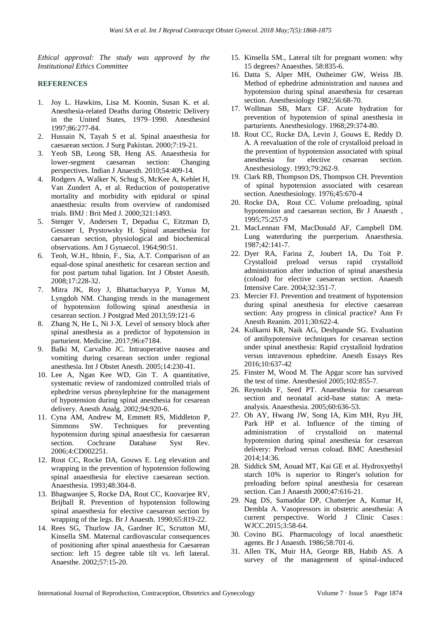*Ethical approval: The study was approved by the Institutional Ethics Committee*

#### **REFERENCES**

- 1. Joy L. Hawkins, Lisa M. Koonin, Susan K. et al. Anesthesia-related Deaths during Obstetric Delivery in the United States, 1979–1990. Anesthesiol 1997;86:277-84.
- 2. Hussain N, Tayah S et al. Spinal anaesthesia for caesarean section. J Surg Pakistan. 2000;7:19-21.
- 3. Yeoh SB, Leong SB, Heng AS. Anaesthesia for lower-segment caesarean section: Changing perspectives. Indian J Anaesth. 2010;54:409-14.
- 4. Rodgers A, Walker N, Schug S, McKee A, Kehlet H, Van Zundert A, et al. Reduction of postoperative mortality and morbidity with epidural or spinal anaesthesia: results from overview of randomised trials. BMJ : Brit Med J. 2000;321:1493.
- 5. Stenger V, Andersen T, Depadua C, Eitzman D, Gessner I, Prystowsky H. Spinal anaesthesia for caesarean section, physiological and biochemical observations. Am J Gynaecol. 1964;90:51.
- 6. Teoh, W.H., Ithnin, F., Sia, A.T. Comparison of an equal-dose spinal anesthetic for cesarean section and for post partum tubal ligation. Int J Obstet Anesth. 2008;17:228-32.
- 7. Mitra JK, Roy J, Bhattacharyya P, Yunus M, Lyngdoh NM. Changing trends in the management of hypotension following spinal anesthesia in cesarean section. J Postgrad Med 2013;59:121-6
- 8. Zhang N, He L, Ni J-X. Level of sensory block after spinal anesthesia as a predictor of hypotension in parturient. Medicine. 2017;96:e7184.
- 9. Balki M, Carvalho JC. Intraoperative nausea and vomiting during cesarean section under regional anesthesia. Int J Obstet Anesth. 2005;14:230-41.
- 10. Lee A, Ngan Kee WD, Gin T. A quantitative, systematic review of randomized controlled trials of ephedrine versus phenylephrine for the management of hypotension during spinal anesthesia for cesarean delivery. Anesth Analg. 2002;94:920-6.
- 11. Cyna AM, Andrew M, Emmett RS, Middleton P, Simmons SW. Techniques for preventing hypotension during spinal anaesthesia for caesarean section. Cochrane Database Syst Rev. 2006;4:CD002251.
- 12. Rout CC, Rocke DA, Gouws E. Leg elevation and wrapping in the prevention of hypotension following spinal anaesthesia for elective caesarean section. Anaesthesia. 1993;48:304-8.
- 13. Bhagwanjee S, Rocke DA, Rout CC, Koovarjee RV, Brijball R. Prevention of hypotension following spinal anaesthesia for elective caesarean section by wrapping of the legs. Br J Anaesth. 1990;65:819-22.
- 14. Rees SG, Thurlow JA, Gardner IC, Scrutton MJ, Kinsella SM. Maternal cardiovascular consequences of positioning after spinal anaesthesia for Caesarean section: left 15 degree table tilt vs. left lateral. Anaesthe. 2002;57:15-20.
- 15. Kinsella SM., Lateral tilt for pregnant women: why 15 degrees? Anaesthes. 58:835-6.
- 16. Datta S, Alper MH, Ostheimer GW, Weiss JB. Method of ephedrine administration and nausea and hypotension during spinal anaesthesia for cesarean section. Anesthesiology 1982;56:68-70.
- 17. Wollman SB, Marx GF. Acute hydration for prevention of hypotension of spinal anesthesia in parturients. Anesthesiology. 1968;29:374-80.
- 18. Rout CC, Rocke DA, Levin J, Gouws E, Reddy D. A. A reevaluation of the role of crystalloid preload in the prevention of hypotension associated with spinal anesthesia for elective cesarean section. Anesthesiology. 1993;79:262-9.
- 19. Clark RB, Thompson DS, Thompson CH. Prevention of spinal hypotension associated with cesarean section. Anesthesiology. 1976;45:670-4
- 20. Rocke DA, Rout CC. Volume preloading, spinal hypotension and caesarean section, Br J Anaesth , 1995;75:257-9
- 21. MacLennan FM, MacDonald AF, Campbell DM. Lung waterduring the puerperium. Anaesthesia. 1987;42:141-7.
- 22. Dyer RA, Farina Z, Joubert IA, Du Toit P. Crystalloid preload versus rapid crystalloid administration after induction of spinal anaesthesia (coload) for elective caesarean section. Anaesth Intensive Care. 2004;32:351-7.
- 23. Mercier FJ. Prevention and treatment of hypotension during spinal anesthesia for elective caesarean section: Any progress in clinical practice? Ann Fr Anesth Reanim. 2011;30:622-4.
- 24. Kulkarni KR, Naik AG, Deshpande SG. Evaluation of antihypotensive techniques for cesarean section under spinal anesthesia: Rapid crystalloid hydration versus intravenous ephedrine. Anesth Essays Res 2016;10:637-42
- 25. Finster M, Wood M. The Apgar score has survived the test of time. Anesthesiol 2005;102:855-7.
- 26. Reynolds F, Seed PT. Anaesthesia for caesarean section and neonatal acid-base status: A metaanalysis. Anaesthesia. 2005;60:636-53.
- 27. Oh AY, Hwang JW, Song IA, Kim MH, Ryu JH, Park HP et al. Influence of the timing of administration of crystalloid on maternal hypotension during spinal anesthesia for cesarean delivery: Preload versus coload. BMC Anesthesiol 2014;14:36.
- 28. Siddick SM, Aouad MT, Kai GE et al. Hydroxyethyl starch 10% is superior to Ringer's solution for preloading before spinal anesthesia for cesarean section. Can J Anaesth 2000;47:616-21.
- 29. Nag DS, Samaddar DP, Chatterjee A, Kumar H, Dembla A. Vasopressors in obstetric anesthesia: A current perspective. World J Clinic Cases : WJCC.2015;3:58-64.
- 30. Covino BG. Pharmacology of local anaesthetic agents. Br J Anaesth. 1986;58:701-6.
- 31. Allen TK, Muir HA, George RB, Habib AS. A survey of the management of spinal-induced